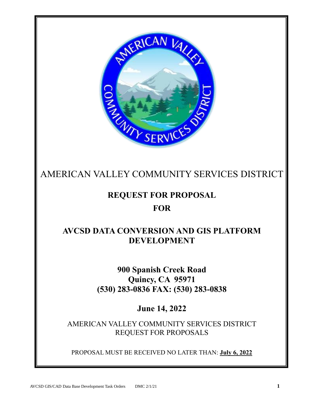

# AMERICAN VALLEY COMMUNITY SERVICES DISTRICT

# **REQUEST FOR PROPOSAL FOR**

# **AVCSD DATA CONVERSION AND GIS PLATFORM DEVELOPMENT**

**900 Spanish Creek Road Quincy, CA 95971 (530) 283-0836 FAX: (530) 283-0838**

**June 14, 2022**

AMERICAN VALLEY COMMUNITY SERVICES DISTRICT REQUEST FOR PROPOSALS

PROPOSAL MUST BE RECEIVED NO LATER THAN: **July 6, 2022**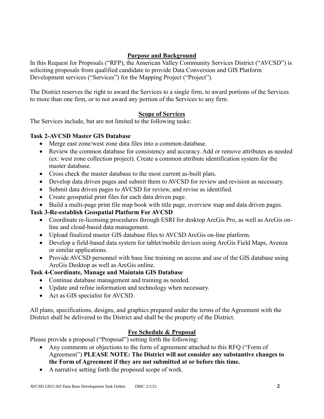### **Purpose and Background**

In this Request for Proposals ("RFP), the American Valley Community Services District ("AVCSD") is soliciting proposals from qualified candidate to provide Data Conversion and GIS Platform Development services ("Services") for the Mapping Project ("Project").

The District reserves the right to award the Services to a single firm, to award portions of the Services to more than one firm, or to not award any portion of the Services to any firm.

### **Scope of Services**

The Services include, but are not limited to the following tasks:

#### **Task 2-AVCSD Master GIS Database**

- Merge east zone/west zone data files into a common database.
- Review the common database for consistency and accuracy. Add or remove attributes as needed (ex: west zone collection project). Create a common attribute identification system for the master database.
- Cross check the master database to the most current as-built plats.
- Develop data driven pages and submit them to AVCSD for review and revision as necessary.
- Submit data driven pages to AVCSD for review, and revise as identified.
- Create geospatial print files for each data driven page.
- Build a multi-page print file map book with title page, overview map and data driven pages.

## **Task 3-Re-establish Geospatial Platform For AVCSD**

- Coordinate re-licensing procedures through ESRI for desktop ArcGis Pro, as well as ArcGis online and cloud-based data management.
- Upload finalized master GIS database files to AVCSD ArcGis on-line platform.
- Develop a field-based data system for tablet/mobile devices using ArcGis Field Maps, Avenza or similar applications.
- Provide AVCSD personnel with base line training on access and use of the GIS database using ArcGis Desktop as well as ArcGis online.

#### **Task 4-Coordinate, Manage and Maintain GIS Database**

- Continue database management and training as needed.
- Update and refine information and technology when necessary.
- Act as GIS specialist for AVCSD.

All plans, specifications, designs, and graphics prepared under the terms of the Agreement with the District shall be delivered to the District and shall be the property of the District.

#### **Fee Schedule & Proposal**

Please provide a proposal ("Proposal") setting forth the following:

- Any comments or objections to the form of agreement attached to this RFQ ("Form of Agreement") **PLEASE NOTE: The District will not consider any substantive changes to the Form of Agreement if they are not submitted at or before this time.**
- A narrative setting forth the proposed scope of work.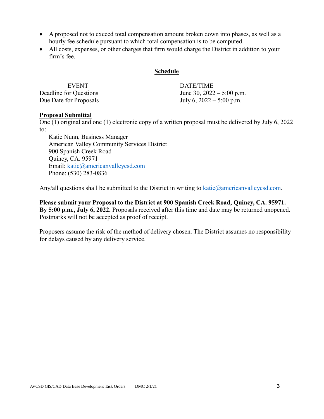- A proposed not to exceed total compensation amount broken down into phases, as well as a hourly fee schedule pursuant to which total compensation is to be computed.
- All costs, expenses, or other charges that firm would charge the District in addition to your firm's fee.

#### **Schedule**

| <b>EVENT</b>           | DATE/TIME                   |
|------------------------|-----------------------------|
| Deadline for Questions | June 30, $2022 - 5:00$ p.m. |
| Due Date for Proposals | July 6, $2022 - 5:00$ p.m.  |

#### **Proposal Submittal**

One (1) original and one (1) electronic copy of a written proposal must be delivered by July 6, 2022 to:

Katie Nunn, Business Manager American Valley Community Services District 900 Spanish Creek Road Quincy, CA. 95971 Email: [katie@americanvalleycsd.com](mailto:katie@americanvalleycsd.com) Phone: (530) 283-0836

Any/all questions shall be submitted to the District in writing to  $katic@americanvalleysed.com$ .

**Please submit your Proposal to the District at 900 Spanish Creek Road, Quincy, CA. 95971. By 5:00 p.m., July 6, 2022.** Proposals received after this time and date may be returned unopened. Postmarks will not be accepted as proof of receipt.

Proposers assume the risk of the method of delivery chosen. The District assumes no responsibility for delays caused by any delivery service.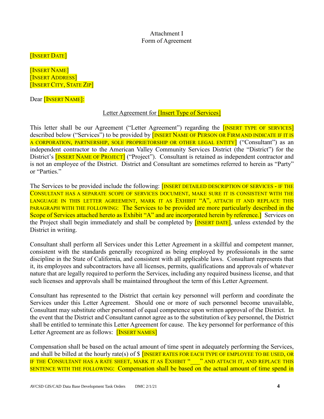Attachment I Form of Agreement

[INSERT DATE]

[INSERT NAME] [INSERT ADDRESS] [INSERT CITY, STATE ZIP]

Dear [INSERT NAME]:

#### Letter Agreement for **[Insert Type of Services]**

This letter shall be our Agreement ("Letter Agreement") regarding the **[INSERT TYPE OF SERVICES**] described below ("Services") to be provided by **[INSERT NAME OF PERSON OR FIRM AND INDICATE IF IT IS** A CORPORATION, PARTNERSHIP, SOLE PROPRIETORSHIP OR OTHER LEGAL ENTITY] ("Consultant") as an independent contractor to the American Valley Community Services District (the "District") for the District's **[INSERT NAME OF PROJECT]** ("Project"). Consultant is retained as independent contractor and is not an employee of the District. District and Consultant are sometimes referred to herein as "Party" or "Parties."

The Services to be provided include the following: **[INSERT DETAILED DESCRIPTION OF SERVICES - IF THE** CONSULTANT HAS A SEPARATE SCOPE OF SERVICES DOCUMENT, MAKE SURE IT IS CONSISTENT WITH THE LANGUAGE IN THIS LETTER AGREEMENT, MARK IT AS EXHIBIT "A", ATTACH IT AND REPLACE THIS PARAGRAPH WITH THE FOLLOWING: The Services to be provided are more particularly described in the Scope of Services attached hereto as Exhibit "A" and are incorporated herein by reference. Services on the Project shall begin immediately and shall be completed by [INSERT DATE], unless extended by the District in writing.

Consultant shall perform all Services under this Letter Agreement in a skillful and competent manner, consistent with the standards generally recognized as being employed by professionals in the same discipline in the State of California, and consistent with all applicable laws. Consultant represents that it, its employees and subcontractors have all licenses, permits, qualifications and approvals of whatever nature that are legally required to perform the Services, including any required business license, and that such licenses and approvals shall be maintained throughout the term of this Letter Agreement.

Consultant has represented to the District that certain key personnel will perform and coordinate the Services under this Letter Agreement. Should one or more of such personnel become unavailable, Consultant may substitute other personnel of equal competence upon written approval of the District. In the event that the District and Consultant cannot agree as to the substitution of key personnel, the District shall be entitled to terminate this Letter Agreement for cause. The key personnel for performance of this Letter Agreement are as follows: **[INSERT NAMES]** 

Compensation shall be based on the actual amount of time spent in adequately performing the Services, and shall be billed at the hourly rate(s) of  $\frac{1}{2}$  [INSERT RATES FOR EACH TYPE OF EMPLOYEE TO BE USED, OR IF THE CONSULTANT HAS A RATE SHEET, MARK IT AS EXHIBIT " \_\_\_ " AND ATTACH IT, AND REPLACE THIS SENTENCE WITH THE FOLLOWING: Compensation shall be based on the actual amount of time spend in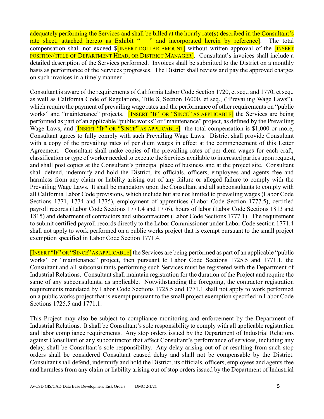adequately performing the Services and shall be billed at the hourly rate(s) described in the Consultant's rate sheet, attached hereto as Exhibit "\_\_\_" and incorporated herein by reference]. The total compensation shall not exceed  $\[\delta\]$ INSERT DOLLAR AMOUNT<sup>]</sup> without written approval of the **[INSERT** POSITION/TITLE OF DEPARTMENT HEAD, OR DISTRICT MANAGER]. Consultant's invoices shall include a detailed description of the Services performed. Invoices shall be submitted to the District on a monthly basis as performance of the Services progresses. The District shall review and pay the approved charges on such invoices in a timely manner.

Consultant is aware of the requirements of California Labor Code Section 1720, et seq., and 1770, et seq., as well as California Code of Regulations, Title 8, Section 16000, et seq., ("Prevailing Wage Laws"), which require the payment of prevailing wage rates and the performance of other requirements on "public works" and "maintenance" projects. [INSERT "IF" OR "SINCE" AS APPLICABLE] the Services are being performed as part of an applicable "public works" or "maintenance" project, as defined by the Prevailing Wage Laws, and [INSERT "IF" OR "SINCE" AS APPLICABLE] the total compensation is \$1,000 or more, Consultant agrees to fully comply with such Prevailing Wage Laws. District shall provide Consultant with a copy of the prevailing rates of per diem wages in effect at the commencement of this Letter Agreement. Consultant shall make copies of the prevailing rates of per diem wages for each craft, classification or type of worker needed to execute the Services available to interested parties upon request, and shall post copies at the Consultant's principal place of business and at the project site. Consultant shall defend, indemnify and hold the District, its officials, officers, employees and agents free and harmless from any claim or liability arising out of any failure or alleged failure to comply with the Prevailing Wage Laws. It shall be mandatory upon the Consultant and all subconsultants to comply with all California Labor Code provisions, which include but are not limited to prevailing wages (Labor Code Sections 1771, 1774 and 1775), employment of apprentices (Labor Code Section 1777.5), certified payroll records (Labor Code Sections 1771.4 and 1776), hours of labor (Labor Code Sections 1813 and 1815) and debarment of contractors and subcontractors (Labor Code Sections 1777.1). The requirement to submit certified payroll records directly to the Labor Commissioner under Labor Code section 1771.4 shall not apply to work performed on a public works project that is exempt pursuant to the small project exemption specified in Labor Code Section 1771.4.

[INSERT "IF" OR "SINCE" AS APPLICABLE] the Services are being performed as part of an applicable "public works" or "maintenance" project, then pursuant to Labor Code Sections 1725.5 and 1771.1, the Consultant and all subconsultants performing such Services must be registered with the Department of Industrial Relations. Consultant shall maintain registration for the duration of the Project and require the same of any subconsultants, as applicable. Notwithstanding the foregoing, the contractor registration requirements mandated by Labor Code Sections 1725.5 and 1771.1 shall not apply to work performed on a public works project that is exempt pursuant to the small project exemption specified in Labor Code Sections 1725.5 and 1771.1.

This Project may also be subject to compliance monitoring and enforcement by the Department of Industrial Relations. It shall be Consultant's sole responsibility to comply with all applicable registration and labor compliance requirements. Any stop orders issued by the Department of Industrial Relations against Consultant or any subcontractor that affect Consultant's performance of services, including any delay, shall be Consultant's sole responsibility. Any delay arising out of or resulting from such stop orders shall be considered Consultant caused delay and shall not be compensable by the District. Consultant shall defend, indemnify and hold the District, its officials, officers, employees and agents free and harmless from any claim or liability arising out of stop orders issued by the Department of Industrial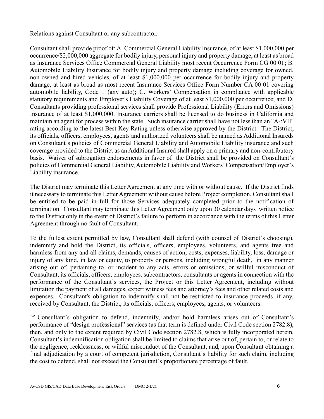Relations against Consultant or any subcontractor.

Consultant shall provide proof of: A. Commercial General Liability Insurance, of at least \$1,000,000 per occurrence/\$2,000,000 aggregate for bodily injury, personal injury and property damage, at least as broad as Insurance Services Office Commercial General Liability most recent Occurrence Form CG 00 01; B. Automobile Liability Insurance for bodily injury and property damage including coverage for owned, non-owned and hired vehicles, of at least \$1,000,000 per occurrence for bodily injury and property damage, at least as broad as most recent Insurance Services Office Form Number CA 00 01 covering automobile liability, Code 1 (any auto); C. Workers' Compensation in compliance with applicable statutory requirements and Employer's Liability Coverage of at least \$1,000,000 per occurrence; and D. Consultants providing professional services shall provide Professional Liability (Errors and Omissions) Insurance of at least \$1,000,000. Insurance carriers shall be licensed to do business in California and maintain an agent for process within the state. Such insurance carrier shall have not less than an "A-:VII" rating according to the latest Best Key Rating unless otherwise approved by the District. The District, its officials, officers, employees, agents and authorized volunteers shall be named as Additional Insureds on Consultant's policies of Commercial General Liability and Automobile Liability insurance and such coverage provided to the District as an Additional Insured shall apply on a primary and non-contributory basis. Waiver of subrogation endorsements in favor of the District shall be provided on Consultant's policies of Commercial General Liability, Automobile Liability and Workers' Compensation/Employer's Liability insurance.

The District may terminate this Letter Agreement at any time with or without cause. If the District finds it necessary to terminate this Letter Agreement without cause before Project completion, Consultant shall be entitled to be paid in full for those Services adequately completed prior to the notification of termination. Consultant may terminate this Letter Agreement only upon 30 calendar days' written notice to the District only in the event of District's failure to perform in accordance with the terms of this Letter Agreement through no fault of Consultant.

To the fullest extent permitted by law, Consultant shall defend (with counsel of District's choosing), indemnify and hold the District, its officials, officers, employees, volunteers, and agents free and harmless from any and all claims, demands, causes of action, costs, expenses, liability, loss, damage or injury of any kind, in law or equity, to property or persons, including wrongful death, in any manner arising out of, pertaining to, or incident to any acts, errors or omissions, or willful misconduct of Consultant, its officials, officers, employees, subcontractors, consultants or agents in connection with the performance of the Consultant's services, the Project or this Letter Agreement, including without limitation the payment of all damages, expert witness fees and attorney's fees and other related costs and expenses. Consultant's obligation to indemnify shall not be restricted to insurance proceeds, if any, received by Consultant, the District, its officials, officers, employees, agents, or volunteers.

If Consultant's obligation to defend, indemnify, and/or hold harmless arises out of Consultant's performance of "design professional" services (as that term is defined under Civil Code section 2782.8), then, and only to the extent required by Civil Code section 2782.8, which is fully incorporated herein, Consultant's indemnification obligation shall be limited to claims that arise out of, pertain to, or relate to the negligence, recklessness, or willful misconduct of the Consultant, and, upon Consultant obtaining a final adjudication by a court of competent jurisdiction, Consultant's liability for such claim, including the cost to defend, shall not exceed the Consultant's proportionate percentage of fault.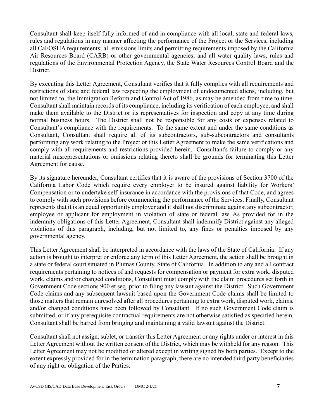Consultant shall keep itself fully informed of and in compliance with all local, state and federal laws, rules and regulations in any manner affecting the performance of the Project or the Services, including all Cal/OSHA requirements; all emissions limits and permitting requirements imposed by the California Air Resources Board (CARB) or other governmental agencies; and all water quality laws, rules and regulations of the Environmental Protection Agency, the State Water Resources Control Board and the District.

By executing this Letter Agreement, Consultant verifies that it fully complies with all requirements and restrictions of state and federal law respecting the employment of undocumented aliens, including, but not limited to, the Immigration Reform and Control Act of 1986, as may be amended from time to time. Consultant shall maintain records of its compliance, including its verification of each employee, and shall make them available to the District or its representatives for inspection and copy at any time during normal business hours. The District shall not be responsible for any costs or expenses related to Consultant's compliance with the requirements. To the same extent and under the same conditions as Consultant, Consultant shall require all of its subcontractors, sub-subcontractors and consultants performing any work relating to the Project or this Letter Agreement to make the same verifications and comply with all requirements and restrictions provided herein. Consultant's failure to comply or any material misrepresentations or omissions relating thereto shall be grounds for terminating this Letter Agreement for cause.

By its signature hereunder, Consultant certifies that it is aware of the provisions of Section 3700 of the California Labor Code which require every employer to be insured against liability for Workers' Compensation or to undertake self-insurance in accordance with the provisions of that Code, and agrees to comply with such provisions before commencing the performance of the Services. Finally, Consultant represents that it is an equal opportunity employer and it shall not discriminate against any subcontractor, employee or applicant for employment in violation of state or federal law. As provided for in the indemnity obligations of this Letter Agreement, Consultant shall indemnify District against any alleged violations of this paragraph, including, but not limited to, any fines or penalties imposed by any governmental agency.

This Letter Agreement shall be interpreted in accordance with the laws of the State of California. If any action is brought to interpret or enforce any term of this Letter Agreement, the action shall be brought in a state or federal court situated in Plumas County, State of California. In addition to any and all contract requirements pertaining to notices of and requests for compensation or payment for extra work, disputed work, claims and/or changed conditions, Consultant must comply with the claim procedures set forth in Government Code sections 900 et seq. prior to filing any lawsuit against the District. Such Government Code claims and any subsequent lawsuit based upon the Government Code claims shall be limited to those matters that remain unresolved after all procedures pertaining to extra work, disputed work, claims, and/or changed conditions have been followed by Consultant. If no such Government Code claim is submitted, or if any prerequisite contractual requirements are not otherwise satisfied as specified herein, Consultant shall be barred from bringing and maintaining a valid lawsuit against the District.

Consultant shall not assign, sublet, or transfer this Letter Agreement or any rights under or interest in this Letter Agreement without the written consent of the District, which may be withheld for any reason. This Letter Agreement may not be modified or altered except in writing signed by both parties. Except to the extent expressly provided for in the termination paragraph, there are no intended third party beneficiaries of any right or obligation of the Parties.